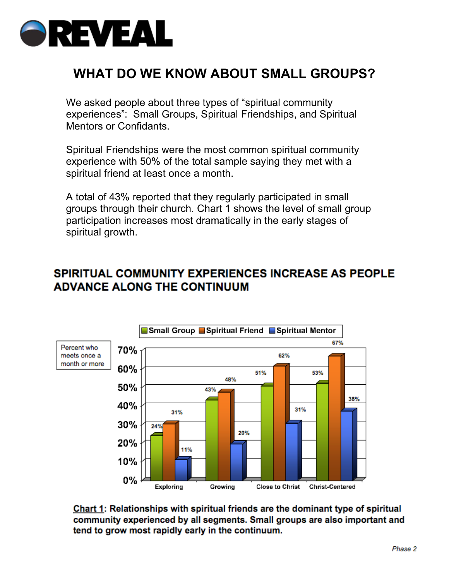

# **WHAT DO WE KNOW ABOUT SMALL GROUPS?**

We asked people about three types of "spiritual community experiences": Small Groups, Spiritual Friendships, and Spiritual Mentors or Confidants.

Spiritual Friendships were the most common spiritual community experience with 50% of the total sample saying they met with a spiritual friend at least once a month.

A total of 43% reported that they regularly participated in small groups through their church. Chart 1 shows the level of small group participation increases most dramatically in the early stages of spiritual growth.

#### SPIRITUAL COMMUNITY EXPERIENCES INCREASE AS PEOPLE **ADVANCE ALONG THE CONTINUUM**



Chart 1: Relationships with spiritual friends are the dominant type of spiritual community experienced by all segments. Small groups are also important and tend to grow most rapidly early in the continuum.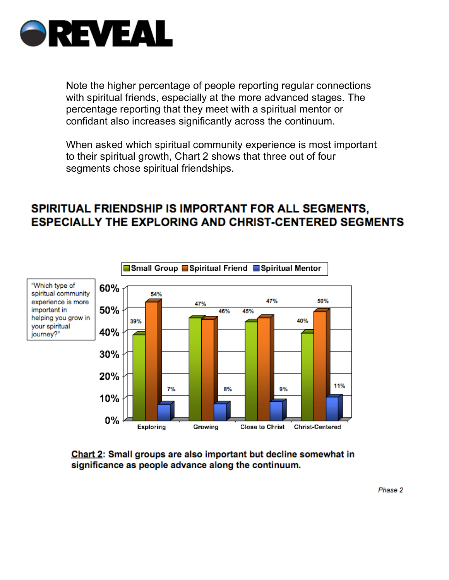

Note the higher percentage of people reporting regular connections with spiritual friends, especially at the more advanced stages. The percentage reporting that they meet with a spiritual mentor or confidant also increases significantly across the continuum.

When asked which spiritual community experience is most important to their spiritual growth, Chart 2 shows that three out of four segments chose spiritual friendships.

#### SPIRITUAL FRIENDSHIP IS IMPORTANT FOR ALL SEGMENTS, **ESPECIALLY THE EXPLORING AND CHRIST-CENTERED SEGMENTS**



Chart 2: Small groups are also important but decline somewhat in significance as people advance along the continuum.

Phase 2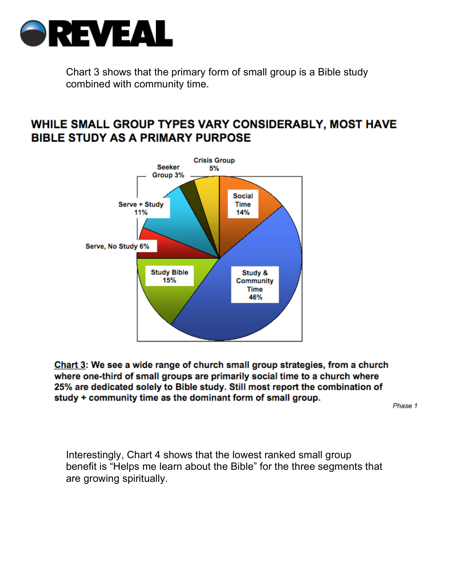

Chart 3 shows that the primary form of small group is a Bible study combined with community time.

### WHILE SMALL GROUP TYPES VARY CONSIDERABLY, MOST HAVE **BIBLE STUDY AS A PRIMARY PURPOSE**



Chart 3: We see a wide range of church small group strategies, from a church where one-third of small groups are primarily social time to a church where 25% are dedicated solely to Bible study. Still most report the combination of study + community time as the dominant form of small group.

Phase 1

Interestingly, Chart 4 shows that the lowest ranked small group benefit is "Helps me learn about the Bible" for the three segments that are growing spiritually.